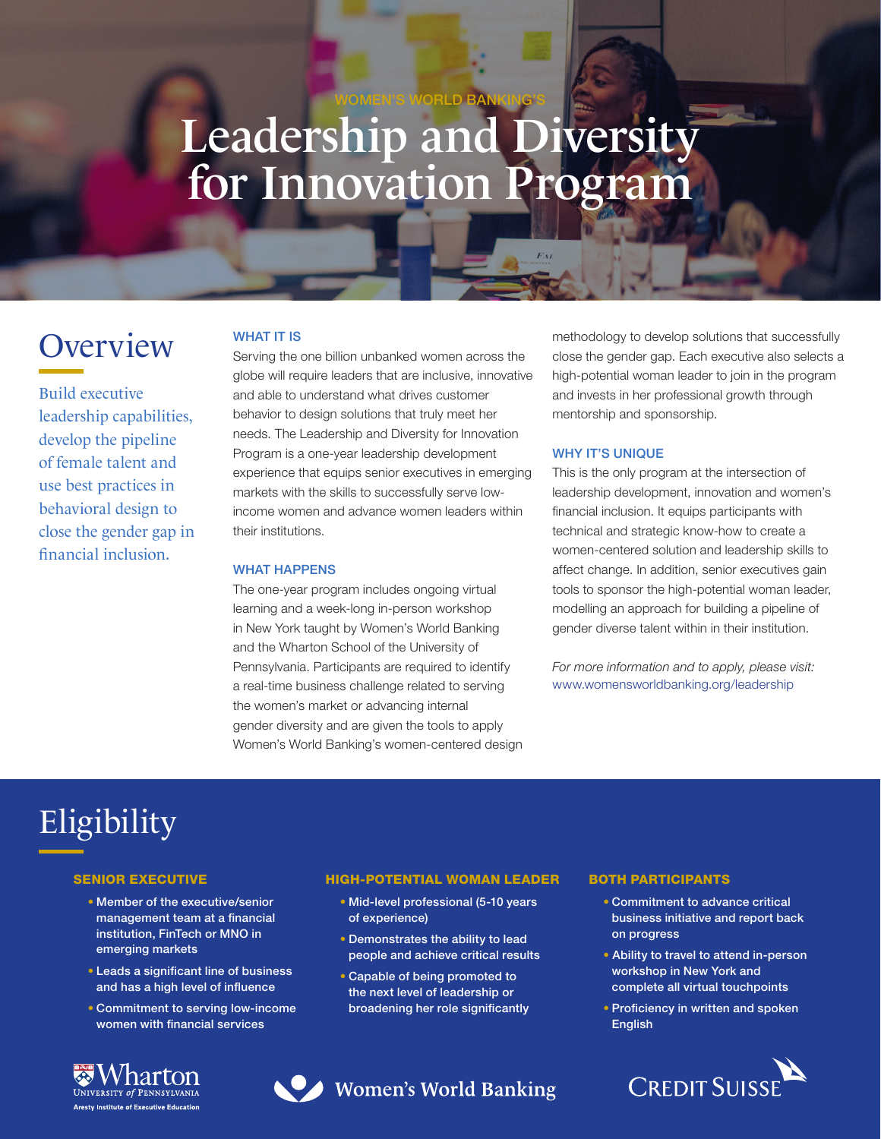# Leadership and Diversity for Innovation Program

WOMEN'S WORLD BANKING'S

# **Overview**

Build executive leadership capabilities, develop the pipeline of female talent and use best practices in behavioral design to close the gender gap in financial inclusion.

# WHAT IT IS

Serving the one billion unbanked women across the globe will require leaders that are inclusive, innovative and able to understand what drives customer behavior to design solutions that truly meet her needs. The Leadership and Diversity for Innovation Program is a one-year leadership development experience that equips senior executives in emerging markets with the skills to successfully serve lowincome women and advance women leaders within their institutions.

#### WHAT HAPPENS

The one-year program includes ongoing virtual learning and a week-long in-person workshop in New York taught by Women's World Banking and the Wharton School of the University of Pennsylvania. Participants are required to identify a real-time business challenge related to serving the women's market or advancing internal gender diversity and are given the tools to apply Women's World Banking's women-centered design methodology to develop solutions that successfully close the gender gap. Each executive also selects a high-potential woman leader to join in the program and invests in her professional growth through mentorship and sponsorship.

### WHY IT'S UNIQUE

This is the only program at the intersection of leadership development, innovation and women's financial inclusion. It equips participants with technical and strategic know-how to create a women-centered solution and leadership skills to affect change. In addition, senior executives gain tools to sponsor the high-potential woman leader, modelling an approach for building a pipeline of gender diverse talent within in their institution.

*For more information and to apply, please visit:* www.womensworldbanking.org/leadership

# Eligibility

#### SENIOR EXECUTIVE

- Member of the executive/senior management team at a financial institution, FinTech or MNO in emerging markets
- Leads a significant line of business and has a high level of influence
- Commitment to serving low-income women with financial services



## HIGH-POTENTIAL WOMAN LEADER

- Mid-level professional (5-10 years of experience)
- Demonstrates the ability to lead people and achieve critical results
- Capable of being promoted to the next level of leadership or broadening her role significantly

Women's World Banking

#### BOTH PARTICIPANTS

- Commitment to advance critical business initiative and report back on progress
- Ability to travel to attend in-person workshop in New York and complete all virtual touchpoints
- Proficiency in written and spoken English